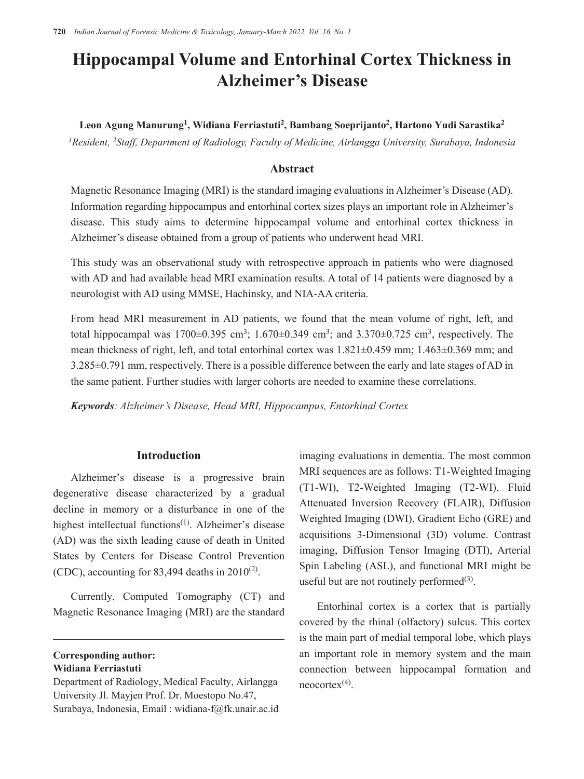# **Hippocampal Volume and Entorhinal Cortex Thickness in Alzheimer's Disease**

**Leon Agung Manurung<sup>1</sup> , Widiana Ferriastuti2 , Bambang Soeprijanto<sup>2</sup>, Hartono Yudi Sarastika<sup>2</sup>**

*1Resident, 2Staff, Department of Radiology, Faculty of Medicine, Airlangga University, Surabaya, Indonesia* 

# **Abstract**

Magnetic Resonance Imaging (MRI) is the standard imaging evaluations in Alzheimer's Disease (AD). Information regarding hippocampus and entorhinal cortex sizes plays an important role in Alzheimer's disease. This study aims to determine hippocampal volume and entorhinal cortex thickness in Alzheimer's disease obtained from a group of patients who underwent head MRI.

This study was an observational study with retrospective approach in patients who were diagnosed with AD and had available head MRI examination results. A total of 14 patients were diagnosed by a neurologist with AD using MMSE, Hachinsky, and NIA-AA criteria.

From head MRI measurement in AD patients, we found that the mean volume of right, left, and total hippocampal was  $1700\pm0.395$  cm<sup>3</sup>;  $1.670\pm0.349$  cm<sup>3</sup>; and  $3.370\pm0.725$  cm<sup>3</sup>, respectively. The mean thickness of right, left, and total entorhinal cortex was 1.821±0.459 mm; 1.463±0.369 mm; and 3.285±0.791 mm, respectively. There is a possible difference between the early and late stages of AD in the same patient. Further studies with larger cohorts are needed to examine these correlations.

*Keywords: Alzheimer's Disease, Head MRI, Hippocampus, Entorhinal Cortex* 

# **Introduction**

Alzheimer's disease is a progressive brain degenerative disease characterized by a gradual decline in memory or a disturbance in one of the highest intellectual functions<sup>(1)</sup>. Alzheimer's disease (AD) was the sixth leading cause of death in United States by Centers for Disease Control Prevention (CDC), accounting for 83,494 deaths in  $2010^{(2)}$ .

Currently, Computed Tomography (CT) and Magnetic Resonance Imaging (MRI) are the standard

imaging evaluations in dementia. The most common MRI sequences are as follows: T1-Weighted Imaging (T1-WI), T2-Weighted Imaging (T2-WI), Fluid Attenuated Inversion Recovery (FLAIR), Diffusion Weighted Imaging (DWI), Gradient Echo (GRE) and acquisitions 3-Dimensional (3D) volume. Contrast imaging, Diffusion Tensor Imaging (DTI), Arterial Spin Labeling (ASL), and functional MRI might be useful but are not routinely performed $(3)$ .

Entorhinal cortex is a cortex that is partially covered by the rhinal (olfactory) sulcus. This cortex is the main part of medial temporal lobe, which plays an important role in memory system and the main connection between hippocampal formation and  $n\text{eocortex}$ <sup>(4)</sup>.

**Corresponding author: Widiana Ferriastuti**

Department of Radiology, Medical Faculty, Airlangga University Jl. Mayjen Prof. Dr. Moestopo No.47, Surabaya, Indonesia, Email : widiana-f@fk.unair.ac.id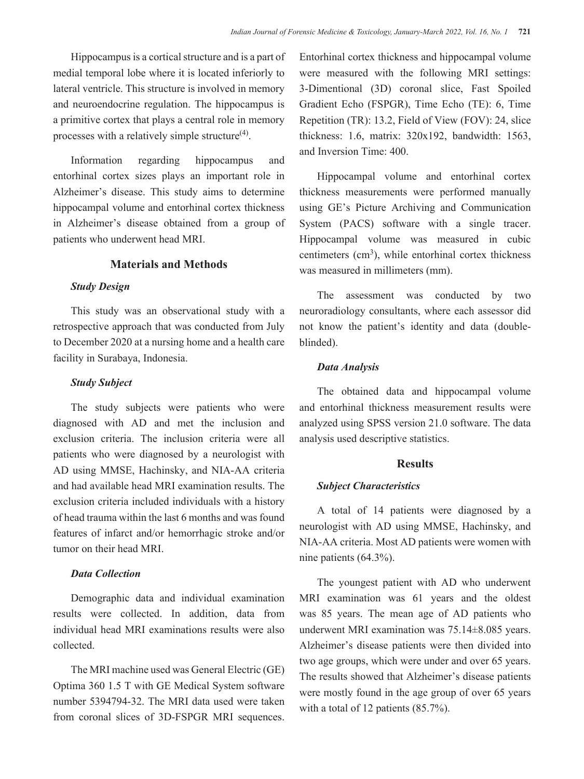Hippocampus is a cortical structure and is a part of medial temporal lobe where it is located inferiorly to lateral ventricle. This structure is involved in memory and neuroendocrine regulation. The hippocampus is a primitive cortex that plays a central role in memory processes with a relatively simple structure $(4)$ .

Information regarding hippocampus and entorhinal cortex sizes plays an important role in Alzheimer's disease. This study aims to determine hippocampal volume and entorhinal cortex thickness in Alzheimer's disease obtained from a group of patients who underwent head MRI.

# **Materials and Methods**

# *Study Design*

This study was an observational study with a retrospective approach that was conducted from July to December 2020 at a nursing home and a health care facility in Surabaya, Indonesia.

# *Study Subject*

The study subjects were patients who were diagnosed with AD and met the inclusion and exclusion criteria. The inclusion criteria were all patients who were diagnosed by a neurologist with AD using MMSE, Hachinsky, and NIA-AA criteria and had available head MRI examination results. The exclusion criteria included individuals with a history of head trauma within the last 6 months and was found features of infarct and/or hemorrhagic stroke and/or tumor on their head MRI.

## *Data Collection*

Demographic data and individual examination results were collected. In addition, data from individual head MRI examinations results were also collected.

The MRI machine used was General Electric (GE) Optima 360 1.5 T with GE Medical System software number 5394794-32. The MRI data used were taken from coronal slices of 3D-FSPGR MRI sequences. Entorhinal cortex thickness and hippocampal volume were measured with the following MRI settings: 3-Dimentional (3D) coronal slice, Fast Spoiled Gradient Echo (FSPGR), Time Echo (TE): 6, Time Repetition (TR): 13.2, Field of View (FOV): 24, slice thickness: 1.6, matrix: 320x192, bandwidth: 1563, and Inversion Time: 400.

Hippocampal volume and entorhinal cortex thickness measurements were performed manually using GE's Picture Archiving and Communication System (PACS) software with a single tracer. Hippocampal volume was measured in cubic centimeters  $(cm<sup>3</sup>)$ , while entorhinal cortex thickness was measured in millimeters (mm).

The assessment was conducted by two neuroradiology consultants, where each assessor did not know the patient's identity and data (doubleblinded).

#### *Data Analysis*

The obtained data and hippocampal volume and entorhinal thickness measurement results were analyzed using SPSS version 21.0 software. The data analysis used descriptive statistics.

## **Results**

#### *Subject Characteristics*

A total of 14 patients were diagnosed by a neurologist with AD using MMSE, Hachinsky, and NIA-AA criteria. Most AD patients were women with nine patients (64.3%).

The youngest patient with AD who underwent MRI examination was 61 years and the oldest was 85 years. The mean age of AD patients who underwent MRI examination was 75.14±8.085 years. Alzheimer's disease patients were then divided into two age groups, which were under and over 65 years. The results showed that Alzheimer's disease patients were mostly found in the age group of over 65 years with a total of 12 patients (85.7%).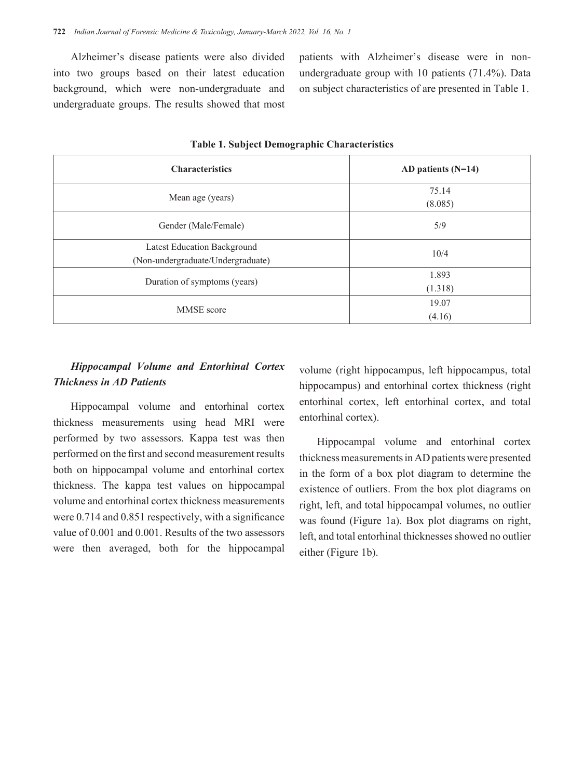Alzheimer's disease patients were also divided into two groups based on their latest education background, which were non-undergraduate and undergraduate groups. The results showed that most patients with Alzheimer's disease were in nonundergraduate group with 10 patients (71.4%). Data on subject characteristics of are presented in Table 1.

| <b>Characteristics</b>                                           | AD patients $(N=14)$ |
|------------------------------------------------------------------|----------------------|
| Mean age (years)                                                 | 75.14<br>(8.085)     |
| Gender (Male/Female)                                             | 5/9                  |
| Latest Education Background<br>(Non-undergraduate/Undergraduate) | 10/4                 |
| Duration of symptoms (years)                                     | 1.893<br>(1.318)     |
| <b>MMSE</b> score                                                | 19.07<br>(4.16)      |

**Table 1. Subject Demographic Characteristics** 

# *Hippocampal Volume and Entorhinal Cortex Thickness in AD Patients*

Hippocampal volume and entorhinal cortex thickness measurements using head MRI were performed by two assessors. Kappa test was then performed on the first and second measurement results both on hippocampal volume and entorhinal cortex thickness. The kappa test values on hippocampal volume and entorhinal cortex thickness measurements were 0.714 and 0.851 respectively, with a significance value of 0.001 and 0.001. Results of the two assessors were then averaged, both for the hippocampal volume (right hippocampus, left hippocampus, total hippocampus) and entorhinal cortex thickness (right entorhinal cortex, left entorhinal cortex, and total entorhinal cortex).

Hippocampal volume and entorhinal cortex thickness measurements in AD patients were presented in the form of a box plot diagram to determine the existence of outliers. From the box plot diagrams on right, left, and total hippocampal volumes, no outlier was found (Figure 1a). Box plot diagrams on right, left, and total entorhinal thicknesses showed no outlier either (Figure 1b).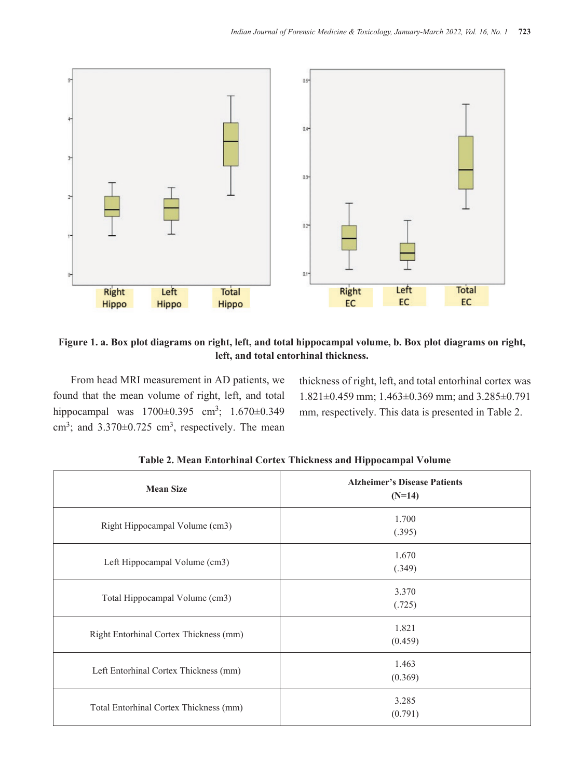

**Figure 1. a. Box plot diagrams on right, left, and total hippocampal volume, b. Box plot diagrams on right, left, and total entorhinal thickness.** 

From head MRI measurement in AD patients, we found that the mean volume of right, left, and total hippocampal was  $1700\pm0.395$  cm<sup>3</sup>;  $1.670\pm0.349$ cm<sup>3</sup>; and  $3.370 \pm 0.725$  cm<sup>3</sup>, respectively. The mean thickness of right, left, and total entorhinal cortex was 1.821±0.459 mm; 1.463±0.369 mm; and 3.285±0.791 mm, respectively. This data is presented in Table 2.

| <b>Mean Size</b>                       | <b>Alzheimer's Disease Patients</b><br>$(N=14)$ |
|----------------------------------------|-------------------------------------------------|
| Right Hippocampal Volume (cm3)         | 1.700<br>(.395)                                 |
| Left Hippocampal Volume (cm3)          | 1.670<br>(.349)                                 |
| Total Hippocampal Volume (cm3)         | 3.370<br>(.725)                                 |
| Right Entorhinal Cortex Thickness (mm) | 1.821<br>(0.459)                                |
| Left Entorhinal Cortex Thickness (mm)  | 1.463<br>(0.369)                                |
| Total Entorhinal Cortex Thickness (mm) | 3.285<br>(0.791)                                |

 **Table 2. Mean Entorhinal Cortex Thickness and Hippocampal Volume**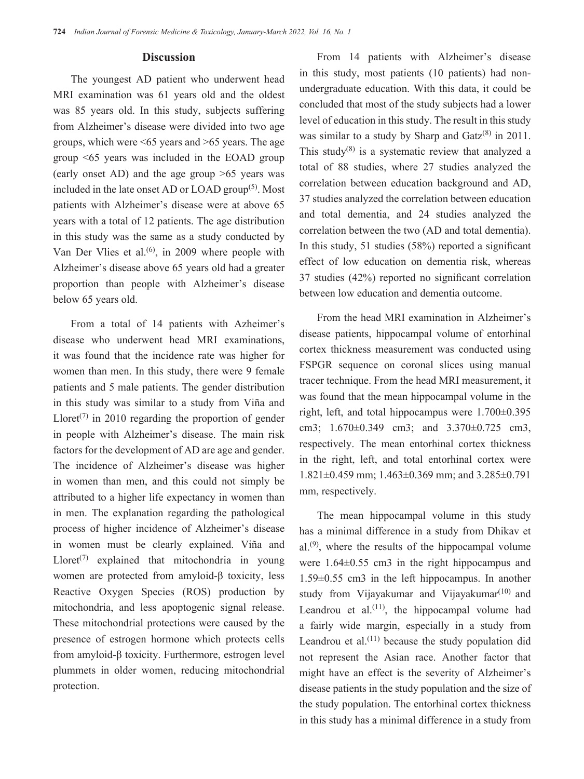#### **Discussion**

The youngest AD patient who underwent head MRI examination was 61 years old and the oldest was 85 years old. In this study, subjects suffering from Alzheimer's disease were divided into two age groups, which were <65 years and >65 years. The age group <65 years was included in the EOAD group (early onset AD) and the age group >65 years was included in the late onset AD or LOAD group<sup> $(5)$ </sup>. Most patients with Alzheimer's disease were at above 65 years with a total of 12 patients. The age distribution in this study was the same as a study conducted by Van Der Vlies et al. $(6)$ , in 2009 where people with Alzheimer's disease above 65 years old had a greater proportion than people with Alzheimer's disease below 65 years old.

From a total of 14 patients with Azheimer's disease who underwent head MRI examinations, it was found that the incidence rate was higher for women than men. In this study, there were 9 female patients and 5 male patients. The gender distribution in this study was similar to a study from Viña and Lloret<sup> $(7)$ </sup> in 2010 regarding the proportion of gender in people with Alzheimer's disease. The main risk factors for the development of AD are age and gender. The incidence of Alzheimer's disease was higher in women than men, and this could not simply be attributed to a higher life expectancy in women than in men. The explanation regarding the pathological process of higher incidence of Alzheimer's disease in women must be clearly explained. Viña and Lloret<sup> $(7)$ </sup> explained that mitochondria in young women are protected from amyloid-β toxicity, less Reactive Oxygen Species (ROS) production by mitochondria, and less apoptogenic signal release. These mitochondrial protections were caused by the presence of estrogen hormone which protects cells from amyloid-β toxicity. Furthermore, estrogen level plummets in older women, reducing mitochondrial protection.

From 14 patients with Alzheimer's disease in this study, most patients (10 patients) had nonundergraduate education. With this data, it could be concluded that most of the study subjects had a lower level of education in this study. The result in this study was similar to a study by Sharp and  $\text{Gatz}^{(8)}$  in 2011. This study $(8)$  is a systematic review that analyzed a total of 88 studies, where 27 studies analyzed the correlation between education background and AD, 37 studies analyzed the correlation between education and total dementia, and 24 studies analyzed the correlation between the two (AD and total dementia). In this study, 51 studies (58%) reported a significant effect of low education on dementia risk, whereas 37 studies (42%) reported no significant correlation between low education and dementia outcome.

From the head MRI examination in Alzheimer's disease patients, hippocampal volume of entorhinal cortex thickness measurement was conducted using FSPGR sequence on coronal slices using manual tracer technique. From the head MRI measurement, it was found that the mean hippocampal volume in the right, left, and total hippocampus were  $1.700\pm0.395$ cm3; 1.670±0.349 cm3; and 3.370±0.725 cm3, respectively. The mean entorhinal cortex thickness in the right, left, and total entorhinal cortex were 1.821±0.459 mm; 1.463±0.369 mm; and 3.285±0.791 mm, respectively.

The mean hippocampal volume in this study has a minimal difference in a study from Dhikav et  $al^{(9)}$ , where the results of the hippocampal volume were 1.64±0.55 cm3 in the right hippocampus and 1.59±0.55 cm3 in the left hippocampus. In another study from Vijayakumar and Vijayakumar<sup> $(10)$ </sup> and Leandrou et al. $(11)$ , the hippocampal volume had a fairly wide margin, especially in a study from Leandrou et al.<sup> $(11)$ </sup> because the study population did not represent the Asian race. Another factor that might have an effect is the severity of Alzheimer's disease patients in the study population and the size of the study population. The entorhinal cortex thickness in this study has a minimal difference in a study from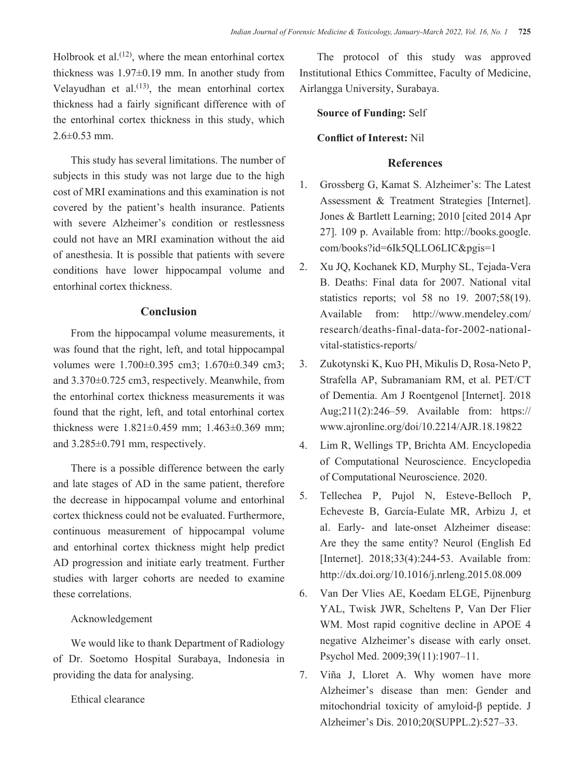Holbrook et al.<sup> $(12)$ </sup>, where the mean entorhinal cortex thickness was 1.97±0.19 mm. In another study from Velayudhan et al. $(13)$ , the mean entorhinal cortex thickness had a fairly significant difference with of the entorhinal cortex thickness in this study, which  $2.6 \pm 0.53$  mm.

This study has several limitations. The number of subjects in this study was not large due to the high cost of MRI examinations and this examination is not covered by the patient's health insurance. Patients with severe Alzheimer's condition or restlessness could not have an MRI examination without the aid of anesthesia. It is possible that patients with severe conditions have lower hippocampal volume and entorhinal cortex thickness.

# **Conclusion**

From the hippocampal volume measurements, it was found that the right, left, and total hippocampal volumes were 1.700±0.395 cm3; 1.670±0.349 cm3; and 3.370±0.725 cm3, respectively. Meanwhile, from the entorhinal cortex thickness measurements it was found that the right, left, and total entorhinal cortex thickness were 1.821±0.459 mm; 1.463±0.369 mm; and 3.285±0.791 mm, respectively.

There is a possible difference between the early and late stages of AD in the same patient, therefore the decrease in hippocampal volume and entorhinal cortex thickness could not be evaluated. Furthermore, continuous measurement of hippocampal volume and entorhinal cortex thickness might help predict AD progression and initiate early treatment. Further studies with larger cohorts are needed to examine these correlations.

# Acknowledgement

We would like to thank Department of Radiology of Dr. Soetomo Hospital Surabaya, Indonesia in providing the data for analysing.

# Ethical clearance

The protocol of this study was approved Institutional Ethics Committee, Faculty of Medicine, Airlangga University, Surabaya.

# **Source of Funding:** Self

#### **Conflict of Interest:** Nil

# **References**

- 1. Grossberg G, Kamat S. Alzheimer's: The Latest Assessment & Treatment Strategies [Internet]. Jones & Bartlett Learning; 2010 [cited 2014 Apr 27]. 109 p. Available from: http://books.google. com/books?id=6Ik5QLLO6LIC&pgis=1
- 2. Xu JQ, Kochanek KD, Murphy SL, Tejada-Vera B. Deaths: Final data for 2007. National vital statistics reports; vol 58 no 19. 2007;58(19). Available from: http://www.mendeley.com/ research/deaths-final-data-for-2002-nationalvital-statistics-reports/
- 3. Zukotynski K, Kuo PH, Mikulis D, Rosa-Neto P, Strafella AP, Subramaniam RM, et al. PET/CT of Dementia. Am J Roentgenol [Internet]. 2018 Aug;211(2):246–59. Available from: https:// www.ajronline.org/doi/10.2214/AJR.18.19822
- 4. Lim R, Wellings TP, Brichta AM. Encyclopedia of Computational Neuroscience. Encyclopedia of Computational Neuroscience. 2020.
- 5. Tellechea P, Pujol N, Esteve-Belloch P, Echeveste B, García-Eulate MR, Arbizu J, et al. Early- and late-onset Alzheimer disease: Are they the same entity? Neurol (English Ed [Internet]. 2018;33(4):244-53. Available from: http://dx.doi.org/10.1016/j.nrleng.2015.08.009
- 6. Van Der Vlies AE, Koedam ELGE, Pijnenburg YAL, Twisk JWR, Scheltens P, Van Der Flier WM. Most rapid cognitive decline in APOE 4 negative Alzheimer's disease with early onset. Psychol Med. 2009;39(11):1907–11.
- 7. Viña J, Lloret A. Why women have more Alzheimer's disease than men: Gender and mitochondrial toxicity of amyloid-β peptide. J Alzheimer's Dis. 2010;20(SUPPL.2):527–33.